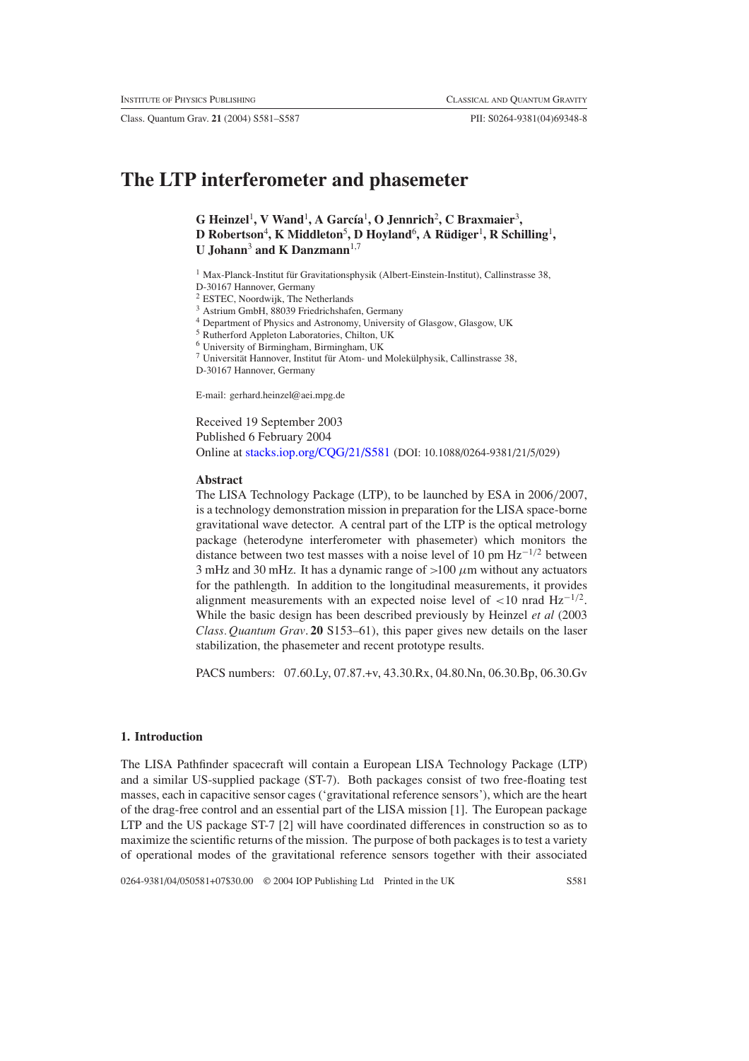Class. Quantum Grav. **21** (2004) S581–S587 PII: S0264-9381(04)69348-8

# **The LTP interferometer and phasemeter**

G Heinzel<sup>1</sup>, V Wand<sup>1</sup>, A García<sup>1</sup>, O Jennrich<sup>2</sup>, C Braxmaier<sup>3</sup>, **D Robertson**<sup>4</sup> **, K Middleton**<sup>5</sup> **, D Hoyland**<sup>6</sup> **,ARudiger ¨** <sup>1</sup> **, R Schilling**<sup>1</sup> **, U** Johann<sup>3</sup> and **K** Danzmann<sup>1,7</sup>

 $1$  Max-Planck-Institut für Gravitationsphysik (Albert-Einstein-Institut), Callinstrasse 38, D-30167 Hannover, Germany

<sup>2</sup> ESTEC, Noordwijk, The Netherlands

<sup>3</sup> Astrium GmbH, 88039 Friedrichshafen, Germany

<sup>4</sup> Department of Physics and Astronomy, University of Glasgow, Glasgow, UK

<sup>5</sup> Rutherford Appleton Laboratories, Chilton, UK

<sup>6</sup> University of Birmingham, Birmingham, UK

 $7$  Universität Hannover, Institut für Atom- und Molekülphysik, Callinstrasse 38,

D-30167 Hannover, Germany

E-mail: gerhard.heinzel@aei.mpg.de

Received 19 September 2003 Published 6 February 2004 Online at [stacks.iop.org/CQG/21/S581](http://stacks.iop.org/cq/21/S581) (DOI: 10.1088/0264-9381/21/5/029)

#### **Abstract**

The LISA Technology Package (LTP), to be launched by ESA in 2006*/*2007, is a technology demonstration mission in preparation for the LISA space-borne gravitational wave detector. A central part of the LTP is the optical metrology package (heterodyne interferometer with phasemeter) which monitors the distance between two test masses with a noise level of 10 pm Hz−1*/*<sup>2</sup> between 3 mHz and 30 mHz. It has a dynamic range of *>*100 *µ*m without any actuators for the pathlength. In addition to the longitudinal measurements, it provides alignment measurements with an expected noise level of *<*10 nrad Hz−1*/*2. While the basic design has been described previously by Heinzel *et al* (2003 *Class. Quantum Grav*. **20** S153–61), this paper gives new details on the laser stabilization, the phasemeter and recent prototype results.

PACS numbers: 07.60.Ly, 07.87.+v, 43.30.Rx, 04.80.Nn, 06.30.Bp, 06.30.Gv

# **1. Introduction**

The LISA Pathfinder spacecraft will contain a European LISA Technology Package (LTP) and a similar US-supplied package (ST-7). Both packages consist of two free-floating test masses, each in capacitive sensor cages ('gravitational reference sensors'), which are the heart of the drag-free control and an essential part of the LISA mission [1]. The European package LTP and the US package ST-7 [2] will have coordinated differences in construction so as to maximize the scientific returns of the mission. The purpose of both packages is to test a variety of operational modes of the gravitational reference sensors together with their associated

0264-9381/04/050581+07\$30.00 © 2004 IOP Publishing Ltd Printed in the UK S581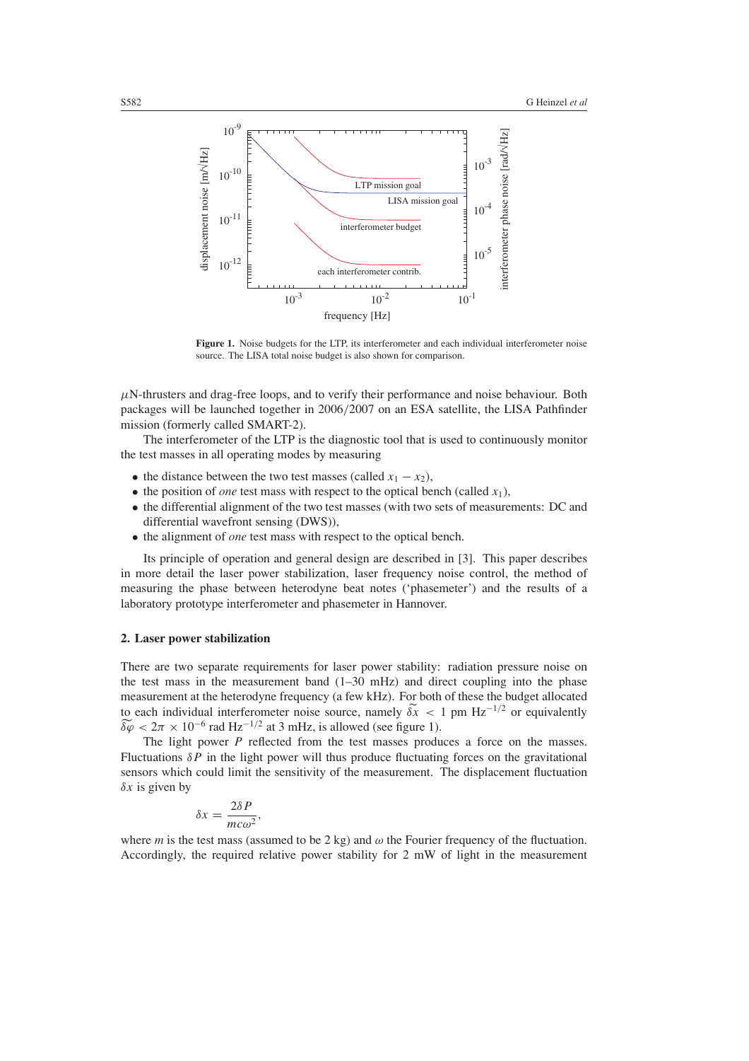

<span id="page-1-0"></span>**Figure 1.** Noise budgets for the LTP, its interferometer and each individual interferometer noise source. The LISA total noise budget is also shown for comparison.

 $\mu$ N-thrusters and drag-free loops, and to verify their performance and noise behaviour. Both packages will be launched together in 2006*/*2007 on an ESA satellite, the LISA Pathfinder mission (formerly called SMART-2).

The interferometer of the LTP is the diagnostic tool that is used to continuously monitor the test masses in all operating modes by measuring

- the distance between the two test masses (called  $x_1 x_2$ ),
- the position of *one* test mass with respect to the optical bench (called  $x_1$ ),
- the differential alignment of the two test masses (with two sets of measurements: DC and differential wavefront sensing (DWS)),
- the alignment of *one* test mass with respect to the optical bench.

Its principle of operation and general design are described in [3]. This paper describes in more detail the laser power stabilization, laser frequency noise control, the method of measuring the phase between heterodyne beat notes ('phasemeter') and the results of a laboratory prototype interferometer and phasemeter in Hannover.

## **2. Laser power stabilization**

There are two separate requirements for laser power stability: radiation pressure noise on the test mass in the measurement band  $(1-30 \text{ mHz})$  and direct coupling into the phase measurement at the heterodyne frequency (a few kHz). For both of these the budget allocated to each individual interferometer noise source, namely  $\delta x < 1$  pm  $Hz^{-1/2}$  or equivalently the test mass in the measurement band  $(1-30 \text{ mHz})$  and directions measurement at the heterodyne frequency (a few kHz). For both to each individual interferometer noise source, namely  $\delta \tilde{x} < \delta \varphi < 2\pi \times 10^{-6}$  rad Hz<sup>-</sup>

The light power *P* reflected from the test masses produces a force on the masses. Fluctuations *δP* in the light power will thus produce fluctuating forces on the gravitational sensors which could limit the sensitivity of the measurement. The displacement fluctuation *δx* is given by

$$
\delta x = \frac{2\delta P}{mc\omega^2},
$$

where *m* is the test mass (assumed to be 2 kg) and  $\omega$  the Fourier frequency of the fluctuation. Accordingly, the required relative power stability for 2 mW of light in the measurement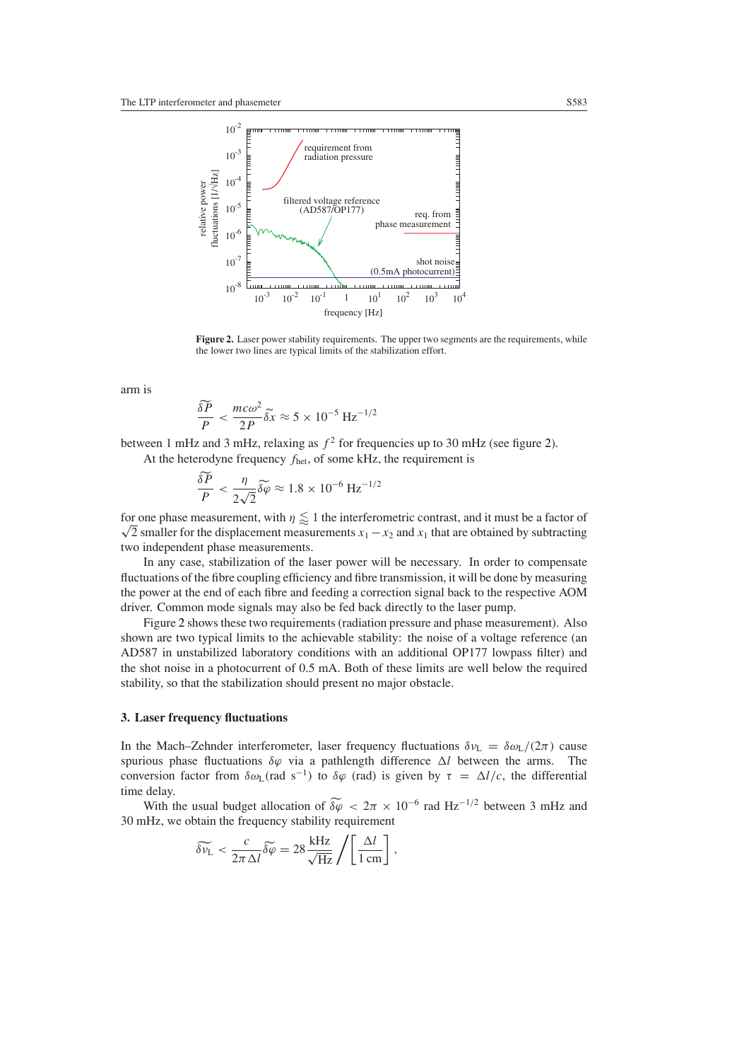

<span id="page-2-0"></span>Figure 2. Laser power stability requirements. The upper two segments are the requirements, while the lower two lines are typical limits of the stabilization effort.

arm is

$$
\frac{\delta \widetilde{P}}{P} < \frac{mc\omega^2}{2P} \delta \widetilde{x} \approx 5 \times 10^{-5} \text{ Hz}^{-1/2}
$$

between 1 mHz and 3 mHz, relaxing as  $f^2$  for frequencies up to 30 mHz (see figure [2\)](#page-2-0). At the heterodyne frequency *f*het, of some kHz, the requirement is *f* and 3 mHz, respectively the frequence of  $\frac{\delta \tilde{P}}{\delta \varphi}$   $\leq \frac{\eta}{\sqrt{2\pi}} \delta \tilde{\varphi}$ 

$$
\frac{\widetilde{\delta P}}{P} < \frac{\eta}{2\sqrt{2}} \widetilde{\delta \varphi} \approx 1.8 \times 10^{-6} \,\text{Hz}^{-1/2}
$$

for one phase measurement, with  $\eta \lessapprox 1$  the interferometric contrast, and it must be a factor of  $\sqrt{2}$  smaller for the displacement measurements  $x_1 - x_2$  and  $x_1$  that are obtained by subtracting  $\sqrt{2}$ two independent phase measurements.

In any case, stabilization of the laser power will be necessary. In order to compensate fluctuations of the fibre coupling efficiency and fibre transmission, it will be done by measuring the power at the end of each fibre and feeding a correction signal back to the respective AOM driver. Common mode signals may also be fed back directly to the laser pump.

Figure [2](#page-2-0) shows these two requirements (radiation pressure and phase measurement). Also shown are two typical limits to the achievable stability: the noise of a voltage reference (an AD587 in unstabilized laboratory conditions with an additional OP177 lowpass filter) and the shot noise in a photocurrent of 0.5 mA. Both of these limits are well below the required stability, so that the stabilization should present no major obstacle.

#### **3. Laser frequency fluctuations**

In the Mach–Zehnder interferometer, laser frequency fluctuations  $\delta v_L = \delta \omega_L/(2\pi)$  cause spurious phase fluctuations  $\delta \varphi$  via a pathlength difference Δl between the arms. The conversion factor from  $\delta \omega_L$ (rad s<sup>-1</sup>) to  $\delta \varphi$  (rad) is given by  $\tau = \Delta l/c$ , the differential time delay. ious phase fluctuations *δϕ* via a pathlength difference Δ*l* between the arms. The version factor from *δω*<sub>L</sub>(rad s<sup>-1</sup>) to *δϕ* (rad) is given by *τ* = Δ*l/c*, the differential delay.<br>With the usual budget alloca

30 mHz, we obtain the frequency stability requirement

$$
\widetilde{\delta \nu_{\rm L}} < \frac{c}{2\pi\,\Delta l} \widetilde{\delta \varphi} = 28 \frac{\rm kHz}{\sqrt{\rm Hz}} \left/ \left[ \frac{\Delta l}{1 \rm \, cm} \right] \right.,
$$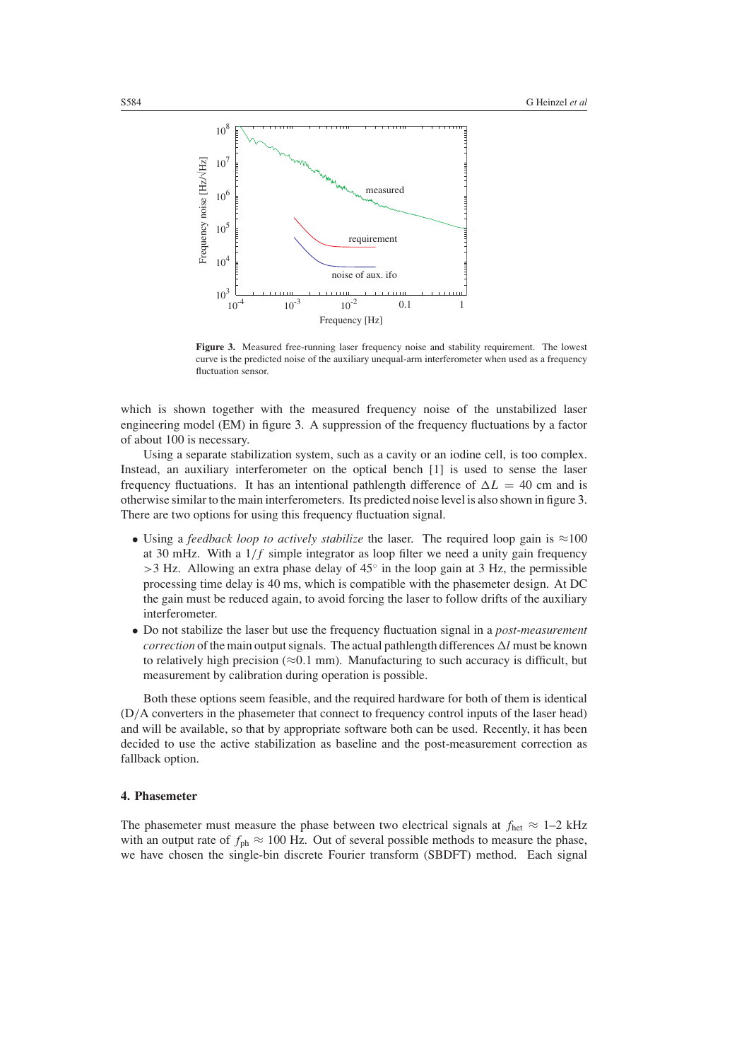

<span id="page-3-0"></span>**Figure 3.** Measured free-running laser frequency noise and stability requirement. The lowest curve is the predicted noise of the auxiliary unequal-arm interferometer when used as a frequency fluctuation sensor.

which is shown together with the measured frequency noise of the unstabilized laser engineering model (EM) in figure [3.](#page-3-0) A suppression of the frequency fluctuations by a factor of about 100 is necessary.

Using a separate stabilization system, such as a cavity or an iodine cell, is too complex. Instead, an auxiliary interferometer on the optical bench [1] is used to sense the laser frequency fluctuations. It has an intentional pathlength difference of  $\Delta L = 40$  cm and is otherwise similar to the main interferometers. Its predicted noise level is also shown in figure [3.](#page-3-0) There are two options for using this frequency fluctuation signal.

- Using a *feedback loop to actively stabilize* the laser. The required loop gain is ≈100 at 30 mHz. With a 1*/f* simple integrator as loop filter we need a unity gain frequency *>*3 Hz. Allowing an extra phase delay of 45◦ in the loop gain at 3 Hz, the permissible processing time delay is 40 ms, which is compatible with the phasemeter design. At DC the gain must be reduced again, to avoid forcing the laser to follow drifts of the auxiliary interferometer.
- Do not stabilize the laser but use the frequency fluctuation signal in a *post-measurement correction* of the main output signals. The actual pathlength differences  $\Delta l$  must be known to relatively high precision ( $\approx 0.1$  mm). Manufacturing to such accuracy is difficult, but measurement by calibration during operation is possible.

Both these options seem feasible, and the required hardware for both of them is identical (D*/*A converters in the phasemeter that connect to frequency control inputs of the laser head) and will be available, so that by appropriate software both can be used. Recently, it has been decided to use the active stabilization as baseline and the post-measurement correction as fallback option.

# **4. Phasemeter**

The phasemeter must measure the phase between two electrical signals at  $f_{\text{het}} \approx 1-2$  kHz with an output rate of  $f_{\text{ph}} \approx 100$  Hz. Out of several possible methods to measure the phase, we have chosen the single-bin discrete Fourier transform (SBDFT) method. Each signal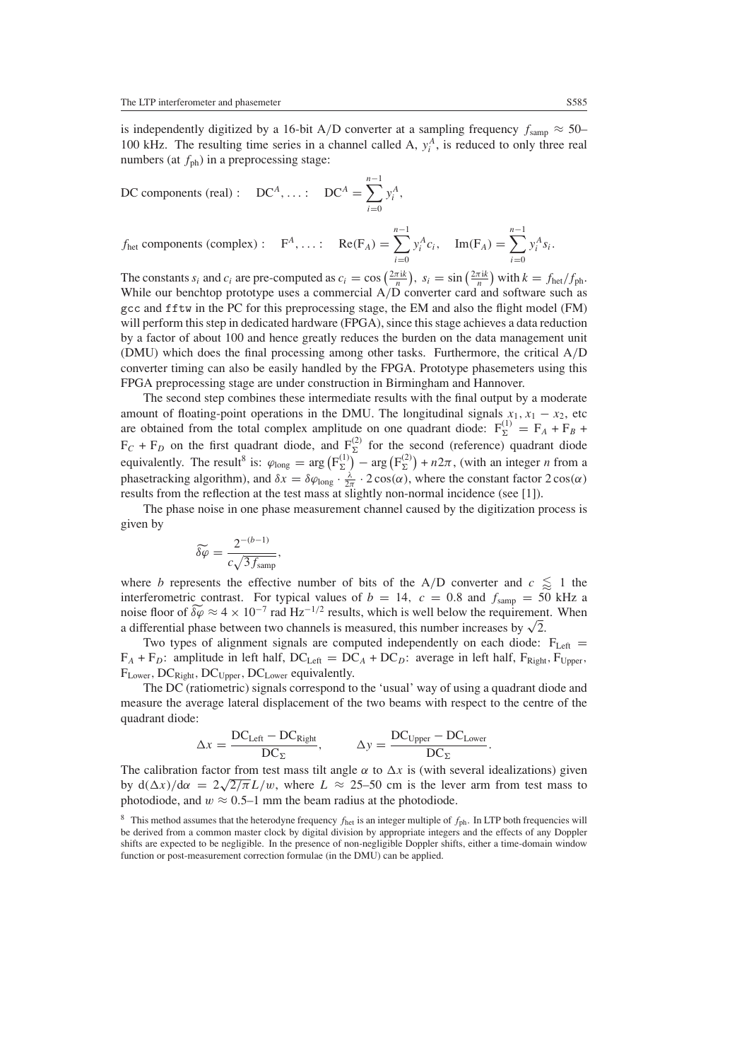is independently digitized by a 16-bit A/D converter at a sampling frequency  $f_{\text{samp}} \approx 50-$ In the resulting time series in a channel called A,  $y_i^A$ , is reduced to only three real numbers (at  $f_{ph}$ ) in a preprocessing stage:<br>DC components (real) : DC<sup>A</sup>,...: DC<sup>A</sup> =  $\sum_{i=1}^{n-1} y_i^A$ , numbers (at  $f_{ph}$ ) in a preprocessing stage:

DC components (real): DC<sup>A</sup>,...: DC<sup>A</sup> = 
$$
\sum_{i=0}^{n-1} y_i^A
$$
,

DC components (real): DC<sup>A</sup>,...: DC<sup>A</sup> = 
$$
\sum_{i=0}^{n} y_i^A
$$
,  
\n $f_{\text{het}}$  components (complex): F<sup>A</sup>,...: Re(F<sub>A</sub>) =  $\sum_{i=0}^{n-1} y_i^A c_i$ , Im(F<sub>A</sub>) =  $\sum_{i=0}^{n-1} y_i^A s_i$ .  
\nThe constants  $s_i$  and  $c_i$  are pre-computed as  $c_i = \cos\left(\frac{2\pi i k}{n}\right)$ ,  $s_i = \sin\left(\frac{2\pi i k}{n}\right)$  with  $k = f_{\text{het}}/f_{\text{ph}}$ .

While our benchtop prototype uses a commercial A*/*D converter card and software such as gcc and fftw in the PC for this preprocessing stage, the EM and also the flight model (FM) will perform this step in dedicated hardware (FPGA), since this stage achieves a data reduction by a factor of about 100 and hence greatly reduces the burden on the data management unit (DMU) which does the final processing among other tasks. Furthermore, the critical A*/*D converter timing can also be easily handled by the FPGA. Prototype phasemeters using this FPGA preprocessing stage are under construction in Birmingham and Hannover.

The second step combines these intermediate results with the final output by a moderate amount of floating-point operations in the DMU. The longitudinal signals  $x_1, x_1 - x_2$ , etc are obtained from the total complex amplitude on one quadrant diode:  $F_{\Sigma}^{(1)} = F_A + F_B + F_B$  $F_C + F_D$  on the first quadrant diode, and  $F_{\Sigma}^{(2)}$  for the second (reference) quadrant diode amount of floating-point operations in the D<br>are obtained from the total complex amplitude<br> $F_C + F_D$  on the first quadrant diode, and F<br>equivalently. The result<sup>8</sup> is:  $\varphi_{\text{long}} = \arg (F_{\Sigma}^{(1)})$ F(*x*). The longitudinal signals  $x_1$ ,  $x_1 - x_2$ , etc<br>
arg on one quadrant diode:  $F_{\Sigma}^{(1)} = F_A + F_B +$ <br>  $\overline{x}_1$  for the second (reference) quadrant diode<br>  $-\arg(F_{\Sigma}^{(2)}) + n2\pi$ , (with an integer *n* from a phasetracking algorithm), and  $\delta x = \delta \varphi_{\text{long}} \cdot \frac{\lambda}{2\pi} \cdot 2\cos(\alpha)$ , where the constant factor  $2\cos(\alpha)$ results from the reflection at the test mass at slightly non-normal incidence (see [1]).

The phase noise in one phase measurement channel caused by the digitization process is<br> *δ* $\widetilde{\phi}$  =  $\frac{2^{-(b-1)}}{\sqrt{2a}}$ , given by

$$
\widetilde{\delta\varphi} = \frac{2^{-(b-1)}}{c\sqrt{3f_{\text{samp}}}},
$$

where *b* represents the effective number of bits of the A/D converter and  $c \leq 1$  the interferometric contrast. For typical values of  $b = 14$ ,  $c = 0.8$  and  $f_{\text{samp}} = 50$  kHz a  $c\sqrt{3}f_{\text{samp}}$ <br>where *b* represents the effective number of bits of the A/D converter and  $c \le 1$  the<br>interferometric contrast. For typical values of  $b = 14$ ,  $c = 0.8$  and  $f_{\text{samp}} = 50$  kHz a<br>noise floor of  $\delta\varphi \approx 4 \times$ a differential phase between two channels is measured, this number increases by  $\sqrt{2}$ .

Two types of alignment signals are computed independently on each diode:  $F_{Left}$  =  $F_A + F_D$ : amplitude in left half, DC<sub>Left</sub> = DC<sub>A</sub> + DC<sub>D</sub>: average in left half,  $F_{Right}$ ,  $F_{Upper}$ ,  $F_{Lower}$ , DC<sub>Right</sub>, DC<sub>Upper</sub>, DC<sub>Lower</sub> equivalently.

The DC (ratiometric) signals correspond to the 'usual' way of using a quadrant diode and measure the average lateral displacement of the two beams with respect to the centre of the quadrant diode:

$$
\Delta x = \frac{\text{DC}_{\text{Left}} - \text{DC}_{\text{Right}}}{\text{DC}_{\Sigma}}, \qquad \Delta y = \frac{\text{DC}_{\text{Upper}} - \text{DC}_{\text{Lower}}}{\text{DC}_{\Sigma}}.
$$

The calibration factor from test mass tilt angle  $\alpha$  to  $\Delta x$  is (with several idealizations) given by  $d(\Delta x)/d\alpha = 2\sqrt{2/\pi}L/w$ , where  $L \approx 25-50$  cm is the lever arm from test mass to photodiode, and  $w \approx 0.5$ –1 mm the beam radius at the photodiode.

<sup>&</sup>lt;sup>8</sup> This method assumes that the heterodyne frequency  $f_{\text{het}}$  is an integer multiple of  $f_{\text{ph}}$ . In LTP both frequencies will be derived from a common master clock by digital division by appropriate integers and the effects of any Doppler shifts are expected to be negligible. In the presence of non-negligible Doppler shifts, either a time-domain window function or post-measurement correction formulae (in the DMU) can be applied.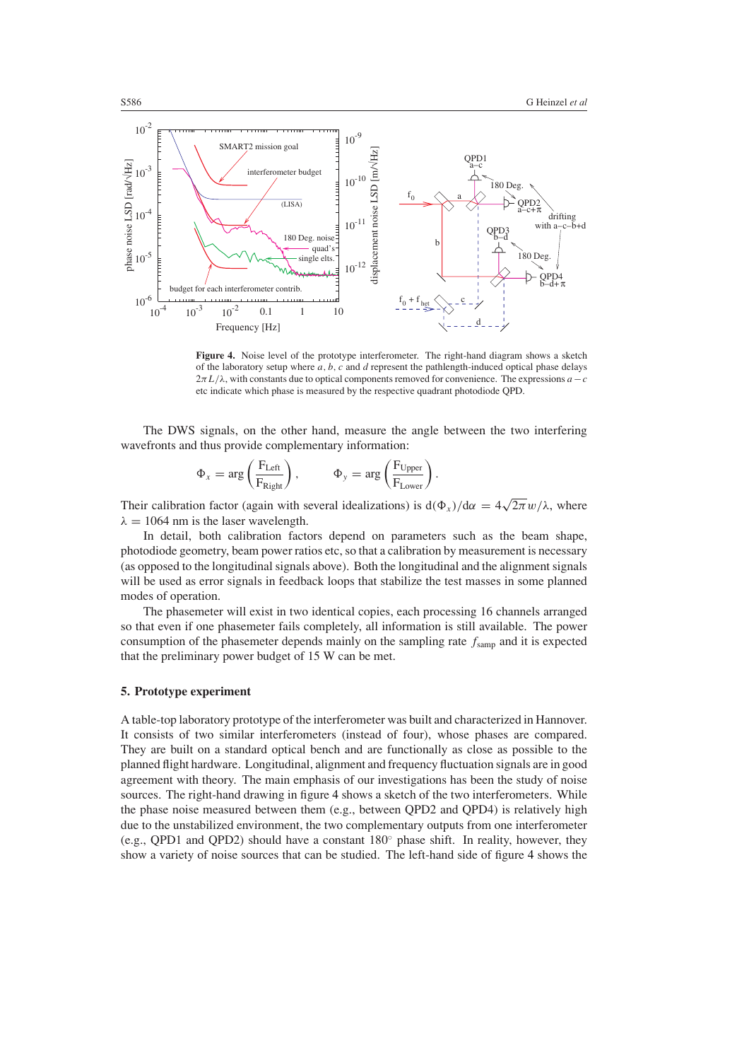

<span id="page-5-0"></span>Figure 4. Noise level of the prototype interferometer. The right-hand diagram shows a sketch of the laboratory setup where *a, b, c* and *d* represent the pathlength-induced optical phase delays  $2\pi L/\lambda$ , with constants due to optical components removed for convenience. The expressions  $a-c$ etc indicate which phase is measured by the respective quadrant photodiode QPD.

The DWS signals, on the other hand, measure the angle between the two interfering wavefronts and thus provide complementary information:

\n
$$
\delta
$$
 signals, on the other hand, measure the angle  $\theta$  thus provide complementary information:\n

\n\n $\Phi_x = \arg\left(\frac{F_{\text{Left}}}{F_{\text{Right}}}\right), \qquad \Phi_y = \arg\left(\frac{F_{\text{Upper}}}{F_{\text{Lower}}}\right).$ \n

Their calibration factor (again with several idealizations) is  $d(\Phi_x)/d\alpha = 4\sqrt{2\pi}w/\lambda$ , where  $\lambda = 1064$  nm is the laser wavelength.

In detail, both calibration factors depend on parameters such as the beam shape, photodiode geometry, beam power ratios etc, so that a calibration by measurement is necessary (as opposed to the longitudinal signals above). Both the longitudinal and the alignment signals will be used as error signals in feedback loops that stabilize the test masses in some planned modes of operation.

The phasemeter will exist in two identical copies, each processing 16 channels arranged so that even if one phasemeter fails completely, all information is still available. The power consumption of the phasemeter depends mainly on the sampling rate  $f_{\text{samn}}$  and it is expected that the preliminary power budget of 15 W can be met.

## **5. Prototype experiment**

A table-top laboratory prototype of the interferometer was built and characterized in Hannover. It consists of two similar interferometers (instead of four), whose phases are compared. They are built on a standard optical bench and are functionally as close as possible to the planned flight hardware. Longitudinal, alignment and frequency fluctuation signals are in good agreement with theory. The main emphasis of our investigations has been the study of noise sources. The right-hand drawing in figure [4](#page-5-0) shows a sketch of the two interferometers. While the phase noise measured between them (e.g., between QPD2 and QPD4) is relatively high due to the unstabilized environment, the two complementary outputs from one interferometer (e.g., QPD1 and QPD2) should have a constant 180◦ phase shift. In reality, however, they show a variety of noise sources that can be studied. The left-hand side of figure [4](#page-5-0) shows the